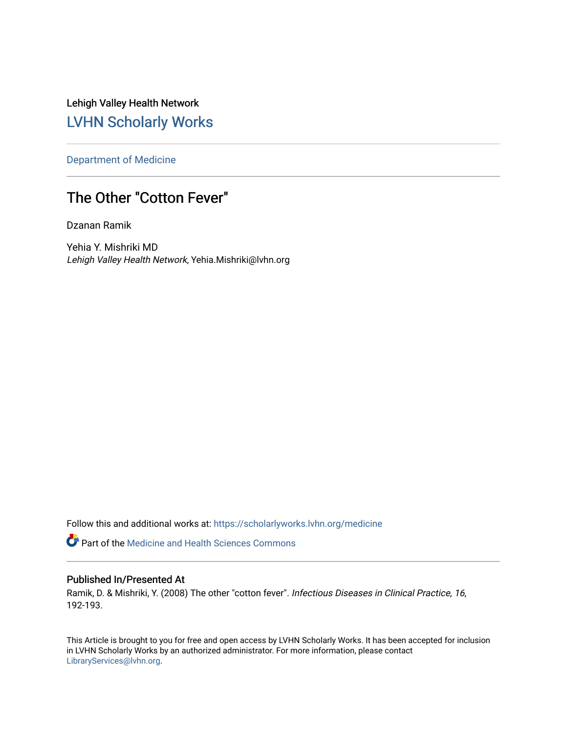Lehigh Valley Health Network [LVHN Scholarly Works](https://scholarlyworks.lvhn.org/)

[Department of Medicine](https://scholarlyworks.lvhn.org/medicine) 

## The Other "Cotton Fever"

Dzanan Ramik

Yehia Y. Mishriki MD Lehigh Valley Health Network, Yehia.Mishriki@lvhn.org

Follow this and additional works at: [https://scholarlyworks.lvhn.org/medicine](https://scholarlyworks.lvhn.org/medicine?utm_source=scholarlyworks.lvhn.org%2Fmedicine%2F1980&utm_medium=PDF&utm_campaign=PDFCoverPages) 

**Part of the Medicine and Health Sciences Commons** 

### Published In/Presented At

Ramik, D. & Mishriki, Y. (2008) The other "cotton fever". Infectious Diseases in Clinical Practice, 16, 192-193.

This Article is brought to you for free and open access by LVHN Scholarly Works. It has been accepted for inclusion in LVHN Scholarly Works by an authorized administrator. For more information, please contact [LibraryServices@lvhn.org](mailto:LibraryServices@lvhn.org).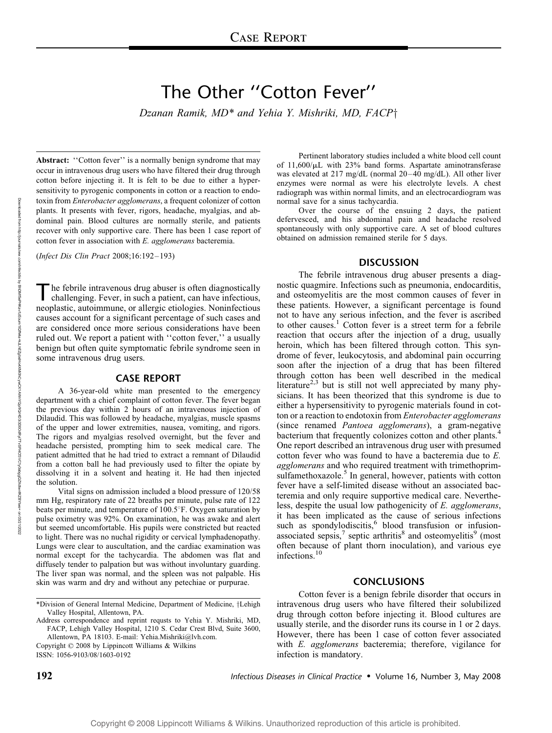# The Other ''Cotton Fever''

Dzanan Ramik,  $MD^*$  and Yehia Y. Mishriki, MD, FACP $\dagger$ 

Abstract: "Cotton fever" is a normally benign syndrome that may occur in intravenous drug users who have filtered their drug through cotton before injecting it. It is felt to be due to either a hypersensitivity to pyrogenic components in cotton or a reaction to endotoxin from Enterobacter agglomerans, a frequent colonizer of cotton plants. It presents with fever, rigors, headache, myalgias, and abdominal pain. Blood cultures are normally sterile, and patients recover with only supportive care. There has been 1 case report of cotton fever in association with E. agglomerans bacteremia.

(Infect Dis Clin Pract 2008;16:192– 193)

In febrile intravenous drug abuser is often diagnostically challenging. Fever, in such a patient, can have infectious, neoplastic, autoimmune, or allergic etiologies. Noninfectious causes account for a significant percentage of such cases and are considered once more serious considerations have been ruled out. We report a patient with ''cotton fever,'' a usually benign but often quite symptomatic febrile syndrome seen in some intravenous drug users.

#### CASE REPORT

A 36-year-old white man presented to the emergency department with a chief complaint of cotton fever. The fever began the previous day within 2 hours of an intravenous injection of Dilaudid. This was followed by headache, myalgias, muscle spasms of the upper and lower extremities, nausea, vomiting, and rigors. The rigors and myalgias resolved overnight, but the fever and headache persisted, prompting him to seek medical care. The patient admitted that he had tried to extract a remnant of Dilaudid from a cotton ball he had previously used to filter the opiate by dissolving it in a solvent and heating it. He had then injected the solution.

Vital signs on admission included a blood pressure of 120/58 mm Hg, respiratory rate of 22 breaths per minute, pulse rate of 122 beats per minute, and temperature of 100.5°F. Oxygen saturation by pulse oximetry was 92%. On examination, he was awake and alert but seemed uncomfortable. His pupils were constricted but reacted to light. There was no nuchal rigidity or cervical lymphadenopathy. Lungs were clear to auscultation, and the cardiac examination was normal except for the tachycardia. The abdomen was flat and diffusely tender to palpation but was without involuntary guarding. The liver span was normal, and the spleen was not palpable. His skin was warm and dry and without any petechiae or purpurae.

Address correspondence and reprint requsts to Yehia Y. Mishriki, MD, FACP, Lehigh Valley Hospital, 1210 S. Cedar Crest Blvd, Suite 3600, Allentown, PA 18103. E-mail: Yehia.Mishriki@lvh.com.

Copyright  $\odot$  2008 by Lippincott Williams & Wilkins ISSN: 1056-9103/08/1603-0192

Pertinent laboratory studies included a white blood cell count of 11,600/*m*L with 23% band forms. Aspartate aminotransferase was elevated at 217 mg/dL (normal 20-40 mg/dL). All other liver enzymes were normal as were his electrolyte levels. A chest radiograph was within normal limits, and an electrocardiogram was normal save for a sinus tachycardia.

Over the course of the ensuing 2 days, the patient defervesced, and his abdominal pain and headache resolved spontaneously with only supportive care. A set of blood cultures obtained on admission remained sterile for 5 days.

#### DISCUSSION

The febrile intravenous drug abuser presents a diagnostic quagmire. Infections such as pneumonia, endocarditis, and osteomyelitis are the most common causes of fever in these patients. However, a significant percentage is found not to have any serious infection, and the fever is ascribed to other causes.<sup>1</sup> Cotton fever is a street term for a febrile reaction that occurs after the injection of a drug, usually heroin, which has been filtered through cotton. This syndrome of fever, leukocytosis, and abdominal pain occurring soon after the injection of a drug that has been filtered through cotton has been well described in the medical literature<sup>2,3</sup> but is still not well appreciated by many physicians. It has been theorized that this syndrome is due to either a hypersensitivity to pyrogenic materials found in cotton or a reaction to endotoxin from Enterobacter agglomerans (since renamed Pantoea agglomerans), a gram-negative bacterium that frequently colonizes cotton and other plants.<sup>4</sup> One report described an intravenous drug user with presumed cotton fever who was found to have a bacteremia due to E. agglomerans and who required treatment with trimethoprimsulfamethoxazole.<sup>5</sup> In general, however, patients with cotton fever have a self-limited disease without an associated bacteremia and only require supportive medical care. Nevertheless, despite the usual low pathogenicity of E. agglomerans, it has been implicated as the cause of serious infections such as spondylodiscitis, $6$  blood transfusion or infusionassociated sepsis, $\frac{7}{1}$  septic arthritis $\frac{8}{1}$  and osteomyelitis $\frac{9}{1}$  (most often because of plant thorn inoculation), and various eye infections.<sup>10</sup>

#### CONCLUSIONS

Cotton fever is a benign febrile disorder that occurs in intravenous drug users who have filtered their solubilized drug through cotton before injecting it. Blood cultures are usually sterile, and the disorder runs its course in 1 or 2 days. However, there has been 1 case of cotton fever associated with *E. agglomerans* bacteremia; therefore, vigilance for infection is mandatory.

**192 Infectious Diseases in Clinical Practice •** Volume 16, Number 3, May 2008

<sup>\*</sup>Division of General Internal Medicine, Department of Medicine, †Lehigh Valley Hospital, Allentown, PA.